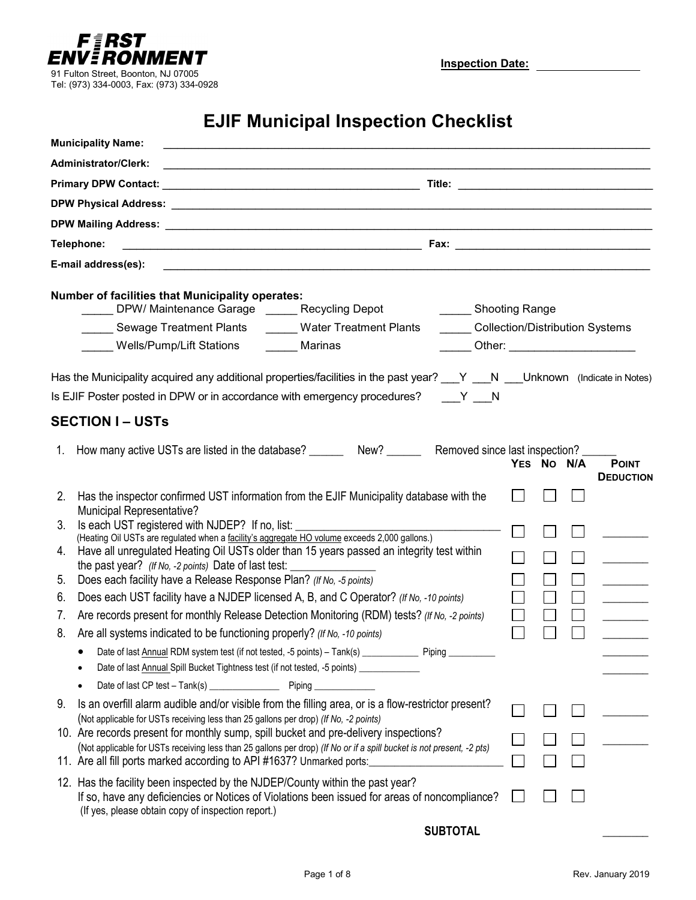

**Inspection Date:**

# **EJIF Municipal Inspection Checklist**

| <b>Municipality Name:</b>                                                                                                                                                                                                                                            |  |  |            |  |                                      |  |  |
|----------------------------------------------------------------------------------------------------------------------------------------------------------------------------------------------------------------------------------------------------------------------|--|--|------------|--|--------------------------------------|--|--|
| <b>Administrator/Clerk:</b>                                                                                                                                                                                                                                          |  |  |            |  |                                      |  |  |
|                                                                                                                                                                                                                                                                      |  |  |            |  |                                      |  |  |
|                                                                                                                                                                                                                                                                      |  |  |            |  |                                      |  |  |
|                                                                                                                                                                                                                                                                      |  |  |            |  |                                      |  |  |
| Telephone:                                                                                                                                                                                                                                                           |  |  |            |  |                                      |  |  |
| E-mail address(es):                                                                                                                                                                                                                                                  |  |  |            |  |                                      |  |  |
| <b>Number of facilities that Municipality operates:</b><br>DPW/ Maintenance Garage ______ Recycling Depot<br>_______ Shooting Range                                                                                                                                  |  |  |            |  |                                      |  |  |
| Collection/Distribution Systems<br>Sewage Treatment Plants<br>Water Treatment Plants                                                                                                                                                                                 |  |  |            |  |                                      |  |  |
| Wells/Pump/Lift Stations<br>Marinas                                                                                                                                                                                                                                  |  |  |            |  | ______ Other: ______________________ |  |  |
| Has the Municipality acquired any additional properties/facilities in the past year? ___Y ___N ___Unknown (Indicate in Notes)<br>Is EJIF Poster posted in DPW or in accordance with emergency procedures? ____Y ___N                                                 |  |  |            |  |                                      |  |  |
| <b>SECTION I – USTs</b>                                                                                                                                                                                                                                              |  |  |            |  |                                      |  |  |
| 1. How many active USTs are listed in the database? _________ New? _________ Removed since last inspection? __                                                                                                                                                       |  |  | YES NO N/A |  | <b>POINT</b><br><b>DEDUCTION</b>     |  |  |
| Has the inspector confirmed UST information from the EJIF Municipality database with the<br>2.<br><b>Municipal Representative?</b>                                                                                                                                   |  |  |            |  |                                      |  |  |
| Is each UST registered with NJDEP? If no, list:<br>3.                                                                                                                                                                                                                |  |  |            |  |                                      |  |  |
| (Heating Oil USTs are regulated when a facility's aggregate HO volume exceeds 2,000 gallons.)<br>Have all unregulated Heating Oil USTs older than 15 years passed an integrity test within<br>4.<br>the past year? (If No, -2 points) Date of last test: ___________ |  |  |            |  |                                      |  |  |
| Does each facility have a Release Response Plan? (If No, -5 points)<br>5 <sub>1</sub>                                                                                                                                                                                |  |  |            |  |                                      |  |  |
| Does each UST facility have a NJDEP licensed A, B, and C Operator? (If No, -10 points)<br>6.                                                                                                                                                                         |  |  |            |  | $\overline{\phantom{a}}$             |  |  |
| Are records present for monthly Release Detection Monitoring (RDM) tests? (If No, -2 points)<br>7.                                                                                                                                                                   |  |  |            |  | $\frac{1}{1}$                        |  |  |
| Are all systems indicated to be functioning properly? (If No, -10 points)<br>8.                                                                                                                                                                                      |  |  |            |  |                                      |  |  |
| Date of last Annual RDM system test (if not tested, -5 points) - Tank(s) _______________ Piping __________<br>Date of last Annual Spill Bucket Tightness test (if not tested, -5 points) ___________                                                                 |  |  |            |  |                                      |  |  |
|                                                                                                                                                                                                                                                                      |  |  |            |  |                                      |  |  |
| Is an overfill alarm audible and/or visible from the filling area, or is a flow-restrictor present?<br>9.<br>(Not applicable for USTs receiving less than 25 gallons per drop) (If No, -2 points)                                                                    |  |  |            |  |                                      |  |  |
| 10. Are records present for monthly sump, spill bucket and pre-delivery inspections?                                                                                                                                                                                 |  |  |            |  |                                      |  |  |
| (Not applicable for USTs receiving less than 25 gallons per drop) (If No or if a spill bucket is not present, -2 pts)<br>11. Are all fill ports marked according to API #1637? Unmarked ports:                                                                       |  |  |            |  |                                      |  |  |
| 12. Has the facility been inspected by the NJDEP/County within the past year?<br>If so, have any deficiencies or Notices of Violations been issued for areas of noncompliance?<br>(If yes, please obtain copy of inspection report.)                                 |  |  |            |  |                                      |  |  |
| <b>SUBTOTAL</b>                                                                                                                                                                                                                                                      |  |  |            |  |                                      |  |  |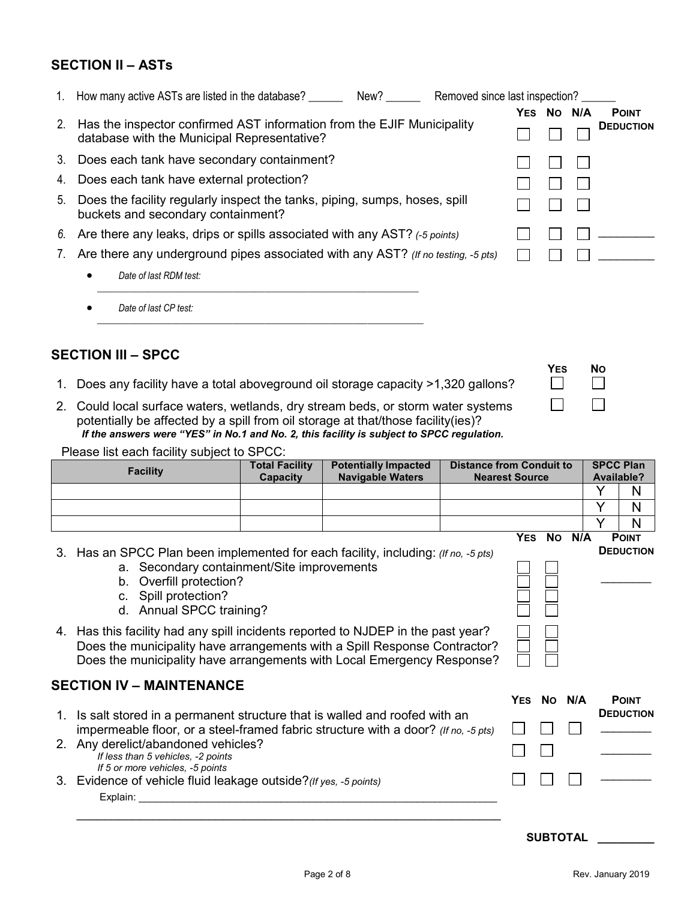### **SECTION II – ASTs**

|    | 1. How many active ASTs are listed in the database? New?                                                              | Removed since last inspection? |            |      |     |                  |
|----|-----------------------------------------------------------------------------------------------------------------------|--------------------------------|------------|------|-----|------------------|
|    |                                                                                                                       |                                | <b>YES</b> | - No | N/A | <b>POINT</b>     |
| 2. | Has the inspector confirmed AST information from the EJIF Municipality<br>database with the Municipal Representative? |                                |            |      |     | <b>DEDUCTION</b> |
|    | 3. Does each tank have secondary containment?                                                                         |                                |            |      |     |                  |
|    | 4. Does each tank have external protection?                                                                           |                                |            |      |     |                  |
| 5. | Does the facility regularly inspect the tanks, piping, sumps, hoses, spill<br>buckets and secondary containment?      |                                |            |      |     |                  |
|    | 6. Are there any leaks, drips or spills associated with any AST? (-5 points)                                          |                                |            |      |     |                  |
| 7. | Are there any underground pipes associated with any AST? (If no testing, -5 pts)                                      |                                |            |      |     |                  |
|    | Date of last RDM test:                                                                                                |                                |            |      |     |                  |
|    | Date of last CP test:                                                                                                 |                                |            |      |     |                  |

### **SECTION III – SPCC**

1. Does any facility have a total aboveground oil storage capacity >1,320 gallons?

*\_\_\_\_\_\_\_\_\_\_\_\_\_\_\_\_\_\_\_\_\_\_\_\_\_\_\_\_\_\_\_\_\_\_\_\_\_\_\_\_\_\_\_\_\_\_\_\_\_\_\_\_\_\_\_\_\_\_\_\_\_\_\_\_\_\_\_\_\_\_*

2. Could local surface waters, wetlands, dry stream beds, or storm water systems potentially be affected by a spill from oil storage at that/those facility(ies)? *If the answers were "YES" in No.1 and No. 2, this facility is subject to SPCC regulation.*

Please list each facility subject to SPCC:

| <b>Facility</b>                                                                                                                                                                                                                                                                                                                                                                                                                                            | <b>Total Facility</b><br><b>Capacity</b> | <b>Potentially Impacted</b><br><b>Navigable Waters</b> |  | <b>Distance from Conduit to</b><br><b>Nearest Source</b> |                 | Available? | <b>SPCC Plan</b> |
|------------------------------------------------------------------------------------------------------------------------------------------------------------------------------------------------------------------------------------------------------------------------------------------------------------------------------------------------------------------------------------------------------------------------------------------------------------|------------------------------------------|--------------------------------------------------------|--|----------------------------------------------------------|-----------------|------------|------------------|
|                                                                                                                                                                                                                                                                                                                                                                                                                                                            |                                          |                                                        |  |                                                          |                 | V          | N                |
|                                                                                                                                                                                                                                                                                                                                                                                                                                                            |                                          |                                                        |  |                                                          |                 | Y          | N                |
|                                                                                                                                                                                                                                                                                                                                                                                                                                                            |                                          |                                                        |  |                                                          |                 | Y          | N                |
|                                                                                                                                                                                                                                                                                                                                                                                                                                                            |                                          |                                                        |  |                                                          | YES NO N/A      |            | <b>POINT</b>     |
| 3. Has an SPCC Plan been implemented for each facility, including: (If no, -5 pts)<br>a. Secondary containment/Site improvements<br>b. Overfill protection?<br>c. Spill protection?<br>d. Annual SPCC training?<br>4. Has this facility had any spill incidents reported to NJDEP in the past year?<br>Does the municipality have arrangements with a Spill Response Contractor?<br>Does the municipality have arrangements with Local Emergency Response? |                                          |                                                        |  | <b>DEDUCTION</b>                                         |                 |            |                  |
| <b>SECTION IV - MAINTENANCE</b>                                                                                                                                                                                                                                                                                                                                                                                                                            |                                          |                                                        |  | <b>YES</b>                                               | No N/A          |            | <b>POINT</b>     |
| 1. Is salt stored in a permanent structure that is walled and roofed with an<br>impermeable floor, or a steel-framed fabric structure with a door? (If no, -5 pts)                                                                                                                                                                                                                                                                                         |                                          |                                                        |  |                                                          |                 |            | <b>DEDUCTION</b> |
| 2. Any derelict/abandoned vehicles?<br>If less than 5 vehicles, -2 points                                                                                                                                                                                                                                                                                                                                                                                  |                                          |                                                        |  |                                                          |                 |            |                  |
| If 5 or more vehicles, -5 points<br>3. Evidence of vehicle fluid leakage outside? (If yes, -5 points)<br>Explain:                                                                                                                                                                                                                                                                                                                                          |                                          |                                                        |  |                                                          |                 |            |                  |
|                                                                                                                                                                                                                                                                                                                                                                                                                                                            |                                          |                                                        |  |                                                          | <b>SUBTOTAL</b> |            |                  |

YES NO  $\Box$ 

 $\Box$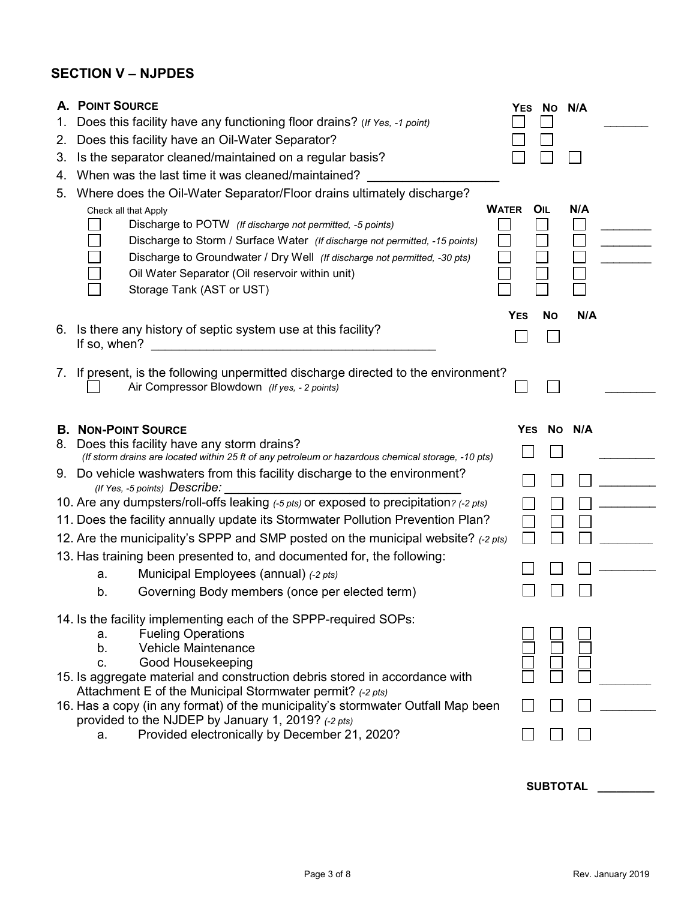# **SECTION V – NJPDES**

|    | <b>A. POINT SOURCE</b>                                                                                                                        |            | YES NO N/A |        |  |  |  |
|----|-----------------------------------------------------------------------------------------------------------------------------------------------|------------|------------|--------|--|--|--|
| 1. | Does this facility have any functioning floor drains? (If Yes, -1 point)                                                                      |            |            |        |  |  |  |
| 2. | Does this facility have an Oil-Water Separator?                                                                                               |            |            |        |  |  |  |
| 3. | Is the separator cleaned/maintained on a regular basis?                                                                                       |            |            |        |  |  |  |
| 4. | When was the last time it was cleaned/maintained?                                                                                             |            |            |        |  |  |  |
| 5. | Where does the Oil-Water Separator/Floor drains ultimately discharge?                                                                         |            |            |        |  |  |  |
|    | <b>WATER</b><br>Check all that Apply                                                                                                          |            | OIL        | N/A    |  |  |  |
|    | Discharge to POTW (If discharge not permitted, -5 points)                                                                                     |            |            |        |  |  |  |
|    | Discharge to Storm / Surface Water (If discharge not permitted, -15 points)                                                                   |            |            |        |  |  |  |
|    | Discharge to Groundwater / Dry Well (If discharge not permitted, -30 pts)<br>Oil Water Separator (Oil reservoir within unit)                  |            |            |        |  |  |  |
|    | Storage Tank (AST or UST)                                                                                                                     |            |            |        |  |  |  |
|    |                                                                                                                                               |            |            |        |  |  |  |
|    |                                                                                                                                               | <b>YES</b> | <b>No</b>  | N/A    |  |  |  |
| 6. | Is there any history of septic system use at this facility?<br>If so, when?                                                                   |            |            |        |  |  |  |
|    |                                                                                                                                               |            |            |        |  |  |  |
|    | 7. If present, is the following unpermitted discharge directed to the environment?                                                            |            |            |        |  |  |  |
|    | Air Compressor Blowdown (If yes, - 2 points)                                                                                                  |            |            |        |  |  |  |
|    |                                                                                                                                               |            |            |        |  |  |  |
|    | <b>B. NON-POINT SOURCE</b>                                                                                                                    | <b>YES</b> |            | No N/A |  |  |  |
|    |                                                                                                                                               |            |            |        |  |  |  |
| 8. | Does this facility have any storm drains?                                                                                                     |            |            |        |  |  |  |
|    | (If storm drains are located within 25 ft of any petroleum or hazardous chemical storage, -10 pts)                                            |            |            |        |  |  |  |
|    | 9. Do vehicle washwaters from this facility discharge to the environment?<br>(If Yes, -5 points) Describe:                                    |            |            |        |  |  |  |
|    | 10. Are any dumpsters/roll-offs leaking (-5 pts) or exposed to precipitation? (-2 pts)                                                        |            |            |        |  |  |  |
|    | 11. Does the facility annually update its Stormwater Pollution Prevention Plan?                                                               |            |            |        |  |  |  |
|    | 12. Are the municipality's SPPP and SMP posted on the municipal website? (-2 pts)                                                             |            |            |        |  |  |  |
|    | 13. Has training been presented to, and documented for, the following:                                                                        |            |            |        |  |  |  |
|    | Municipal Employees (annual) (-2 pts)<br>a.                                                                                                   |            |            |        |  |  |  |
|    | Governing Body members (once per elected term)<br>b.                                                                                          |            |            |        |  |  |  |
|    |                                                                                                                                               |            |            |        |  |  |  |
|    | 14. Is the facility implementing each of the SPPP-required SOPs:<br><b>Fueling Operations</b><br>a.                                           |            |            |        |  |  |  |
|    | <b>Vehicle Maintenance</b><br>b.                                                                                                              |            |            |        |  |  |  |
|    | Good Housekeeping<br>C.                                                                                                                       |            |            |        |  |  |  |
|    | 15. Is aggregate material and construction debris stored in accordance with                                                                   |            |            |        |  |  |  |
|    | Attachment E of the Municipal Stormwater permit? (-2 pts)<br>16. Has a copy (in any format) of the municipality's stormwater Outfall Map been |            |            |        |  |  |  |
|    | provided to the NJDEP by January 1, 2019? (-2 pts)<br>Provided electronically by December 21, 2020?<br>a.                                     |            |            |        |  |  |  |

**SUBTOTAL \_\_\_\_\_\_\_\_\_**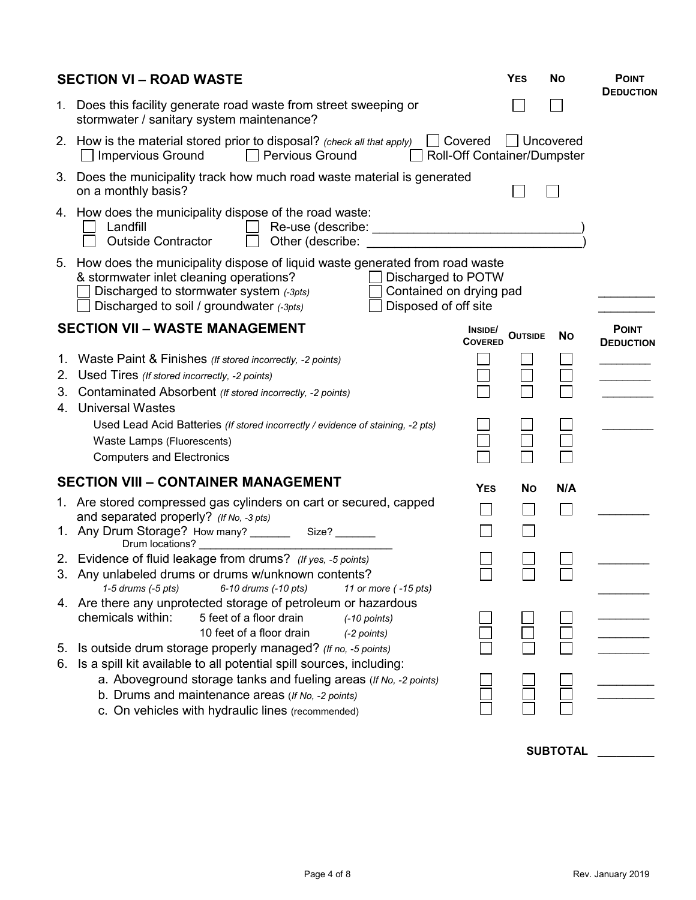| 1. Does this facility generate road waste from street sweeping or<br>stormwater / sanitary system maintenance?<br>□ Covered<br>Uncovered<br>2. How is the material stored prior to disposal? (check all that apply)<br>Roll-Off Container/Dumpster<br>$\Box$ Impervious Ground<br>Pervious Ground<br>$\mathbf{I}$<br>3. Does the municipality track how much road waste material is generated<br>on a monthly basis?<br>4. How does the municipality dispose of the road waste:<br>Landfill<br><b>Outside Contractor</b><br>Other (describe:<br>5. How does the municipality dispose of liquid waste generated from road waste<br>Discharged to POTW<br>& stormwater inlet cleaning operations?<br>Discharged to stormwater system (-3pts)<br>Contained on drying pad<br>Discharged to soil / groundwater (-3pts)<br>Disposed of off site<br><b>SECTION VII - WASTE MANAGEMENT</b><br><b>POINT</b><br>INSIDE/<br><b>OUTSIDE</b><br><b>No</b><br><b>COVERED</b><br><b>DEDUCTION</b><br>1. Waste Paint & Finishes (If stored incorrectly, -2 points)<br>Used Tires (If stored incorrectly, -2 points)<br>2.<br>Contaminated Absorbent (If stored incorrectly, -2 points)<br>3.<br>4. Universal Wastes<br>Used Lead Acid Batteries (If stored incorrectly / evidence of staining, -2 pts)<br>Waste Lamps (Fluorescents)<br><b>Computers and Electronics</b><br><b>SECTION VIII - CONTAINER MANAGEMENT</b><br><b>YES</b><br><b>No</b><br>N/A<br>1. Are stored compressed gas cylinders on cart or secured, capped<br>$\mathbf{I}$<br>and separated properly? (If No, -3 pts)<br>1. Any Drum Storage? How many? _________ Size? _______<br>Drum locations?<br>2. Evidence of fluid leakage from drums? (If yes, -5 points)<br>3. Any unlabeled drums or drums w/unknown contents?<br>1-5 drums (-5 pts)<br>6-10 drums (-10 pts)<br>11 or more (-15 pts)<br>4. Are there any unprotected storage of petroleum or hazardous<br>chemicals within:<br>5 feet of a floor drain<br>$(-10$ points)<br>10 feet of a floor drain<br>(-2 points)<br>Is outside drum storage properly managed? (If no, -5 points)<br>5.<br>Is a spill kit available to all potential spill sources, including:<br>6.<br>a. Aboveground storage tanks and fueling areas (If No, -2 points)<br>b. Drums and maintenance areas (If No, -2 points)<br>c. On vehicles with hydraulic lines (recommended) | <b>SECTION VI - ROAD WASTE</b> | <b>YES</b> | <b>No</b> | <b>POINT</b><br><b>DEDUCTION</b> |
|---------------------------------------------------------------------------------------------------------------------------------------------------------------------------------------------------------------------------------------------------------------------------------------------------------------------------------------------------------------------------------------------------------------------------------------------------------------------------------------------------------------------------------------------------------------------------------------------------------------------------------------------------------------------------------------------------------------------------------------------------------------------------------------------------------------------------------------------------------------------------------------------------------------------------------------------------------------------------------------------------------------------------------------------------------------------------------------------------------------------------------------------------------------------------------------------------------------------------------------------------------------------------------------------------------------------------------------------------------------------------------------------------------------------------------------------------------------------------------------------------------------------------------------------------------------------------------------------------------------------------------------------------------------------------------------------------------------------------------------------------------------------------------------------------------------------------------------------------------------------------------------------------------------------------------------------------------------------------------------------------------------------------------------------------------------------------------------------------------------------------------------------------------------------------------------------------------------------------------------------------------------------------------------------------------------------------------------------------------------------|--------------------------------|------------|-----------|----------------------------------|
|                                                                                                                                                                                                                                                                                                                                                                                                                                                                                                                                                                                                                                                                                                                                                                                                                                                                                                                                                                                                                                                                                                                                                                                                                                                                                                                                                                                                                                                                                                                                                                                                                                                                                                                                                                                                                                                                                                                                                                                                                                                                                                                                                                                                                                                                                                                                                                     |                                |            |           |                                  |
|                                                                                                                                                                                                                                                                                                                                                                                                                                                                                                                                                                                                                                                                                                                                                                                                                                                                                                                                                                                                                                                                                                                                                                                                                                                                                                                                                                                                                                                                                                                                                                                                                                                                                                                                                                                                                                                                                                                                                                                                                                                                                                                                                                                                                                                                                                                                                                     |                                |            |           |                                  |
|                                                                                                                                                                                                                                                                                                                                                                                                                                                                                                                                                                                                                                                                                                                                                                                                                                                                                                                                                                                                                                                                                                                                                                                                                                                                                                                                                                                                                                                                                                                                                                                                                                                                                                                                                                                                                                                                                                                                                                                                                                                                                                                                                                                                                                                                                                                                                                     |                                |            |           |                                  |
|                                                                                                                                                                                                                                                                                                                                                                                                                                                                                                                                                                                                                                                                                                                                                                                                                                                                                                                                                                                                                                                                                                                                                                                                                                                                                                                                                                                                                                                                                                                                                                                                                                                                                                                                                                                                                                                                                                                                                                                                                                                                                                                                                                                                                                                                                                                                                                     |                                |            |           |                                  |
|                                                                                                                                                                                                                                                                                                                                                                                                                                                                                                                                                                                                                                                                                                                                                                                                                                                                                                                                                                                                                                                                                                                                                                                                                                                                                                                                                                                                                                                                                                                                                                                                                                                                                                                                                                                                                                                                                                                                                                                                                                                                                                                                                                                                                                                                                                                                                                     |                                |            |           |                                  |
|                                                                                                                                                                                                                                                                                                                                                                                                                                                                                                                                                                                                                                                                                                                                                                                                                                                                                                                                                                                                                                                                                                                                                                                                                                                                                                                                                                                                                                                                                                                                                                                                                                                                                                                                                                                                                                                                                                                                                                                                                                                                                                                                                                                                                                                                                                                                                                     |                                |            |           |                                  |
|                                                                                                                                                                                                                                                                                                                                                                                                                                                                                                                                                                                                                                                                                                                                                                                                                                                                                                                                                                                                                                                                                                                                                                                                                                                                                                                                                                                                                                                                                                                                                                                                                                                                                                                                                                                                                                                                                                                                                                                                                                                                                                                                                                                                                                                                                                                                                                     |                                |            |           |                                  |
|                                                                                                                                                                                                                                                                                                                                                                                                                                                                                                                                                                                                                                                                                                                                                                                                                                                                                                                                                                                                                                                                                                                                                                                                                                                                                                                                                                                                                                                                                                                                                                                                                                                                                                                                                                                                                                                                                                                                                                                                                                                                                                                                                                                                                                                                                                                                                                     |                                |            |           |                                  |
|                                                                                                                                                                                                                                                                                                                                                                                                                                                                                                                                                                                                                                                                                                                                                                                                                                                                                                                                                                                                                                                                                                                                                                                                                                                                                                                                                                                                                                                                                                                                                                                                                                                                                                                                                                                                                                                                                                                                                                                                                                                                                                                                                                                                                                                                                                                                                                     |                                |            |           |                                  |
|                                                                                                                                                                                                                                                                                                                                                                                                                                                                                                                                                                                                                                                                                                                                                                                                                                                                                                                                                                                                                                                                                                                                                                                                                                                                                                                                                                                                                                                                                                                                                                                                                                                                                                                                                                                                                                                                                                                                                                                                                                                                                                                                                                                                                                                                                                                                                                     |                                |            |           |                                  |
|                                                                                                                                                                                                                                                                                                                                                                                                                                                                                                                                                                                                                                                                                                                                                                                                                                                                                                                                                                                                                                                                                                                                                                                                                                                                                                                                                                                                                                                                                                                                                                                                                                                                                                                                                                                                                                                                                                                                                                                                                                                                                                                                                                                                                                                                                                                                                                     |                                |            |           |                                  |
|                                                                                                                                                                                                                                                                                                                                                                                                                                                                                                                                                                                                                                                                                                                                                                                                                                                                                                                                                                                                                                                                                                                                                                                                                                                                                                                                                                                                                                                                                                                                                                                                                                                                                                                                                                                                                                                                                                                                                                                                                                                                                                                                                                                                                                                                                                                                                                     |                                |            |           |                                  |
|                                                                                                                                                                                                                                                                                                                                                                                                                                                                                                                                                                                                                                                                                                                                                                                                                                                                                                                                                                                                                                                                                                                                                                                                                                                                                                                                                                                                                                                                                                                                                                                                                                                                                                                                                                                                                                                                                                                                                                                                                                                                                                                                                                                                                                                                                                                                                                     |                                |            |           |                                  |
|                                                                                                                                                                                                                                                                                                                                                                                                                                                                                                                                                                                                                                                                                                                                                                                                                                                                                                                                                                                                                                                                                                                                                                                                                                                                                                                                                                                                                                                                                                                                                                                                                                                                                                                                                                                                                                                                                                                                                                                                                                                                                                                                                                                                                                                                                                                                                                     |                                |            |           |                                  |

**SUBTOTAL \_\_\_\_\_\_\_\_\_**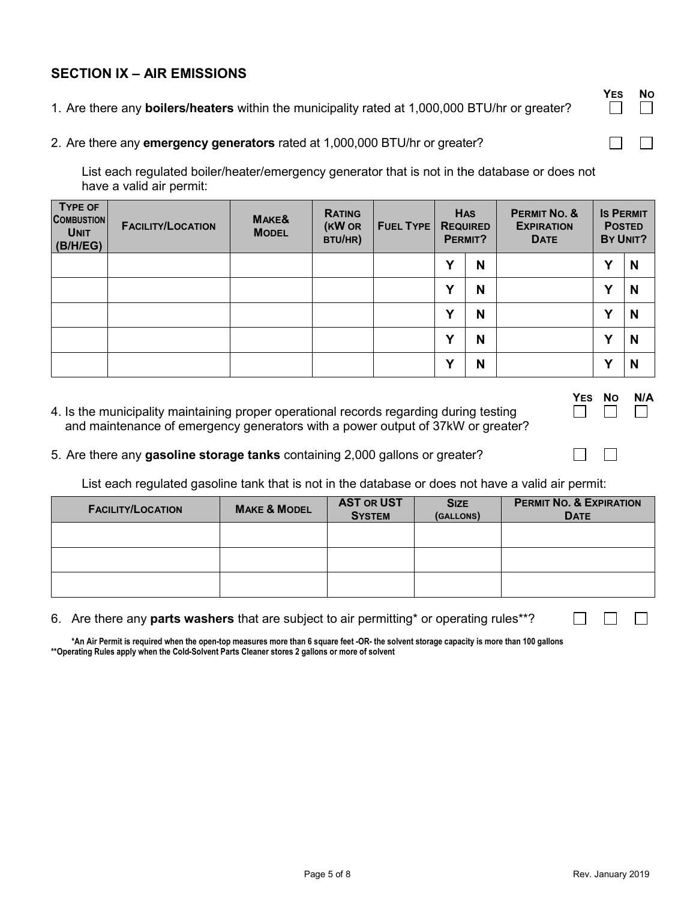## **SECTION IX – AIR EMISSIONS**

- 1. Are there any **boilers/heaters** within the municipality rated at 1,000,000 BTU/hr or greater?
- 2. Are there any **emergency generators** rated at 1,000,000 BTU/hr or greater?

List each regulated boiler/heater/emergency generator that is not in the database or does not have a valid air permit:

| <b>TYPE OF</b><br><b>COMBUSTION</b><br><b>UNIT</b><br>(B/H/EG) | <b>FACILITY/LOCATION</b> | MAKE&<br><b>MODEL</b> | <b>RATING</b><br>(KW OR<br>BTU/HR) | <b>FUEL TYPE</b> | <b>HAS</b><br><b>REQUIRED</b><br>PERMIT? |   |  |              |   |  |  |  |  |  | PERMIT NO. &<br><b>EXPIRATION</b><br><b>DATE</b> |  | <b>IS PERMIT</b><br><b>POSTED</b><br>BY UNIT? |
|----------------------------------------------------------------|--------------------------|-----------------------|------------------------------------|------------------|------------------------------------------|---|--|--------------|---|--|--|--|--|--|--------------------------------------------------|--|-----------------------------------------------|
|                                                                |                          |                       |                                    |                  | v                                        | N |  | $\checkmark$ | N |  |  |  |  |  |                                                  |  |                                               |
|                                                                |                          |                       |                                    |                  | v                                        | N |  | v            | N |  |  |  |  |  |                                                  |  |                                               |
|                                                                |                          |                       |                                    |                  | v                                        | N |  | $\checkmark$ | N |  |  |  |  |  |                                                  |  |                                               |
|                                                                |                          |                       |                                    |                  | v                                        | N |  | $\mathbf v$  | N |  |  |  |  |  |                                                  |  |                                               |
|                                                                |                          |                       |                                    |                  | v                                        | N |  | v            | N |  |  |  |  |  |                                                  |  |                                               |

4. Is the municipality maintaining proper operational records regarding during testing and maintenance of emergency generators with a power output of 37kW or greater?

| <b>YES</b> | N٥ | N/A |
|------------|----|-----|
|            |    |     |

 $\Box$ 

 $\Box$ 

 $\Box$ 

 $\Box$ 

#### 5. Are there any **gasoline storage tanks** containing 2,000 gallons or greater?

List each regulated gasoline tank that is not in the database or does not have a valid air permit:

| <b>FACILITY/LOCATION</b> | <b>MAKE &amp; MODEL</b> | <b>AST OR UST</b><br><b>SYSTEM</b> | <b>SIZE</b><br>(GALLONS) | <b>PERMIT NO. &amp; EXPIRATION</b><br><b>DATE</b> |
|--------------------------|-------------------------|------------------------------------|--------------------------|---------------------------------------------------|
|                          |                         |                                    |                          |                                                   |
|                          |                         |                                    |                          |                                                   |
|                          |                         |                                    |                          |                                                   |

#### 6. Are there any **parts washers** that are subject to air permitting\* or operating rules\*\*?

**\*An Air Permit is required when the open-top measures more than 6 square feet -OR- the solvent storage capacity is more than 100 gallons \*\*Operating Rules apply when the Cold-Solvent Parts Cleaner stores 2 gallons or more of solvent**

**YES NO**

 $\Box$ 

 $\Box$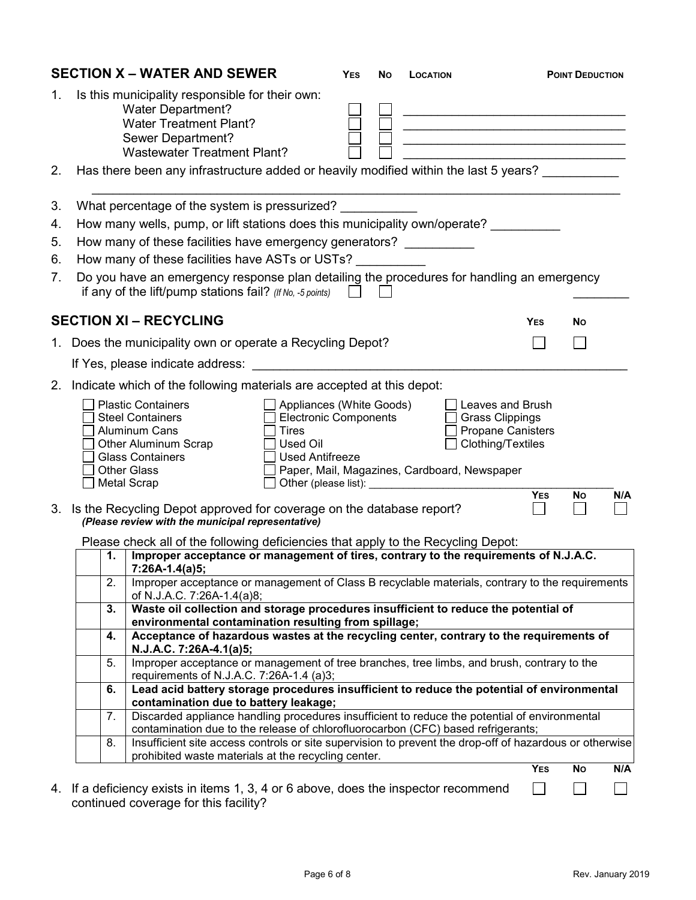|             |    | <b>SECTION X - WATER AND SEWER</b>                                                                                                                                      |                                                                                                                       | <b>YES</b> | Νo | <b>LOCATION</b> |                                                                                             |                                       | <b>POINT DEDUCTION</b> |     |
|-------------|----|-------------------------------------------------------------------------------------------------------------------------------------------------------------------------|-----------------------------------------------------------------------------------------------------------------------|------------|----|-----------------|---------------------------------------------------------------------------------------------|---------------------------------------|------------------------|-----|
| 1.          |    | Is this municipality responsible for their own:<br><b>Water Department?</b><br><b>Water Treatment Plant?</b><br>Sewer Department?<br><b>Wastewater Treatment Plant?</b> |                                                                                                                       |            |    |                 | <u> 1989 - Johann Barnett, fransk politiker (d. 1989)</u>                                   |                                       |                        |     |
| 2.          |    | Has there been any infrastructure added or heavily modified within the last 5 years?                                                                                    |                                                                                                                       |            |    |                 |                                                                                             |                                       |                        |     |
| 3.          |    | What percentage of the system is pressurized?                                                                                                                           |                                                                                                                       |            |    |                 |                                                                                             |                                       |                        |     |
| 4.          |    | How many wells, pump, or lift stations does this municipality own/operate?                                                                                              |                                                                                                                       |            |    |                 |                                                                                             |                                       |                        |     |
| 5.          |    | How many of these facilities have emergency generators?                                                                                                                 |                                                                                                                       |            |    |                 |                                                                                             |                                       |                        |     |
| 6.          |    | How many of these facilities have ASTs or USTs?                                                                                                                         |                                                                                                                       |            |    |                 |                                                                                             |                                       |                        |     |
| 7.          |    | Do you have an emergency response plan detailing the procedures for handling an emergency<br>if any of the lift/pump stations fail? (If No, -5 points)                  |                                                                                                                       |            |    |                 |                                                                                             |                                       |                        |     |
|             |    | <b>SECTION XI - RECYCLING</b>                                                                                                                                           |                                                                                                                       |            |    |                 |                                                                                             | YES                                   | No                     |     |
|             |    | 1. Does the municipality own or operate a Recycling Depot?                                                                                                              |                                                                                                                       |            |    |                 |                                                                                             |                                       |                        |     |
|             |    | If Yes, please indicate address:                                                                                                                                        |                                                                                                                       |            |    |                 |                                                                                             |                                       |                        |     |
| $2_{\cdot}$ |    | Indicate which of the following materials are accepted at this depot:                                                                                                   |                                                                                                                       |            |    |                 |                                                                                             |                                       |                        |     |
|             |    | <b>Plastic Containers</b><br><b>Steel Containers</b><br>Aluminum Cans<br>Other Aluminum Scrap<br><b>Glass Containers</b><br><b>Other Glass</b><br><b>Metal Scrap</b>    | Appliances (White Goods)<br><b>Electronic Components</b><br><b>Tires</b><br><b>Used Oil</b><br><b>Used Antifreeze</b> |            |    |                 | <b>Grass Clippings</b><br>Clothing/Textiles<br>Paper, Mail, Magazines, Cardboard, Newspaper | Leaves and Brush<br>Propane Canisters |                        |     |
|             |    | 3. Is the Recycling Depot approved for coverage on the database report?<br>(Please review with the municipal representative)                                            |                                                                                                                       |            |    |                 |                                                                                             | <b>YES</b>                            | No                     | N/A |
|             |    | Please check all of the following deficiencies that apply to the Recycling Depot:                                                                                       |                                                                                                                       |            |    |                 |                                                                                             |                                       |                        |     |
|             | 1. | Improper acceptance or management of tires, contrary to the requirements of N.J.A.C.<br>$7:26A-1.4(a)5;$                                                                |                                                                                                                       |            |    |                 |                                                                                             |                                       |                        |     |
|             | 2. | Improper acceptance or management of Class B recyclable materials, contrary to the requirements<br>of N.J.A.C. 7:26A-1.4(a)8;                                           |                                                                                                                       |            |    |                 |                                                                                             |                                       |                        |     |
|             | 3. | Waste oil collection and storage procedures insufficient to reduce the potential of<br>environmental contamination resulting from spillage;                             |                                                                                                                       |            |    |                 |                                                                                             |                                       |                        |     |
|             | 4. | Acceptance of hazardous wastes at the recycling center, contrary to the requirements of<br>N.J.A.C. 7:26A-4.1(a)5;                                                      |                                                                                                                       |            |    |                 |                                                                                             |                                       |                        |     |
|             | 5. | Improper acceptance or management of tree branches, tree limbs, and brush, contrary to the                                                                              |                                                                                                                       |            |    |                 |                                                                                             |                                       |                        |     |
|             | 6. | requirements of N.J.A.C. 7:26A-1.4 (a)3;<br>Lead acid battery storage procedures insufficient to reduce the potential of environmental                                  |                                                                                                                       |            |    |                 |                                                                                             |                                       |                        |     |
|             | 7. | contamination due to battery leakage;<br>Discarded appliance handling procedures insufficient to reduce the potential of environmental                                  |                                                                                                                       |            |    |                 |                                                                                             |                                       |                        |     |
|             |    | contamination due to the release of chlorofluorocarbon (CFC) based refrigerants;                                                                                        |                                                                                                                       |            |    |                 |                                                                                             |                                       |                        |     |
|             | 8. | Insufficient site access controls or site supervision to prevent the drop-off of hazardous or otherwise<br>prohibited waste materials at the recycling center.          |                                                                                                                       |            |    |                 |                                                                                             |                                       |                        |     |
|             |    |                                                                                                                                                                         |                                                                                                                       |            |    |                 |                                                                                             | <b>YES</b>                            | No                     | N/A |
|             |    | 4. If a deficiency exists in items 1, 3, 4 or 6 above, does the inspector recommend<br>continued coverage for this facility?                                            |                                                                                                                       |            |    |                 |                                                                                             |                                       |                        |     |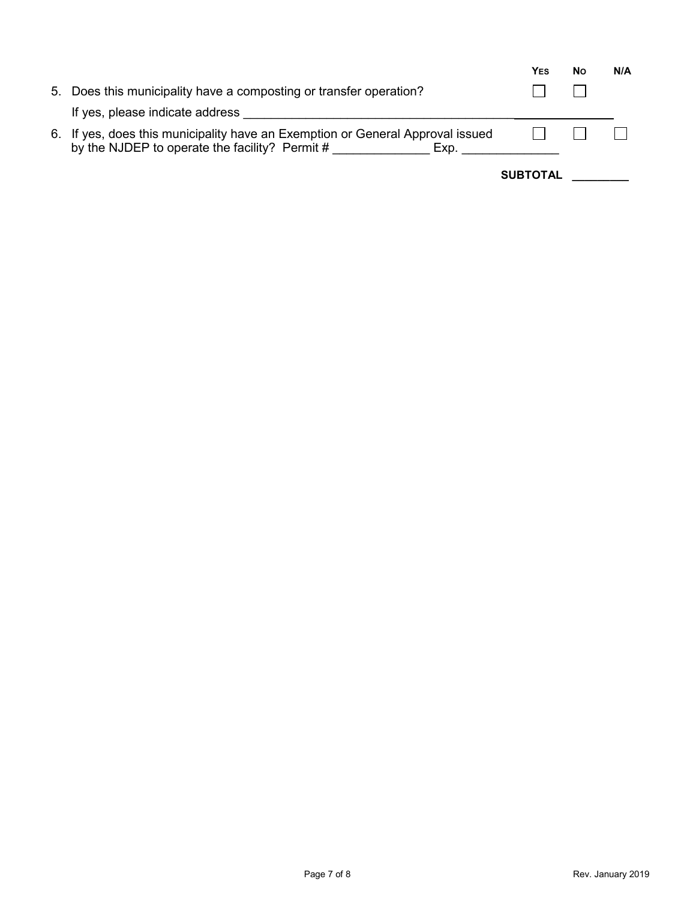|                                                                                                                                          | YES             | <b>No</b> | N/A |
|------------------------------------------------------------------------------------------------------------------------------------------|-----------------|-----------|-----|
| 5. Does this municipality have a composting or transfer operation?                                                                       |                 |           |     |
| If yes, please indicate address                                                                                                          |                 |           |     |
| 6. If yes, does this municipality have an Exemption or General Approval issued<br>by the NJDEP to operate the facility? Permit #<br>Exp. |                 |           |     |
|                                                                                                                                          | <b>SUBTOTAL</b> |           |     |